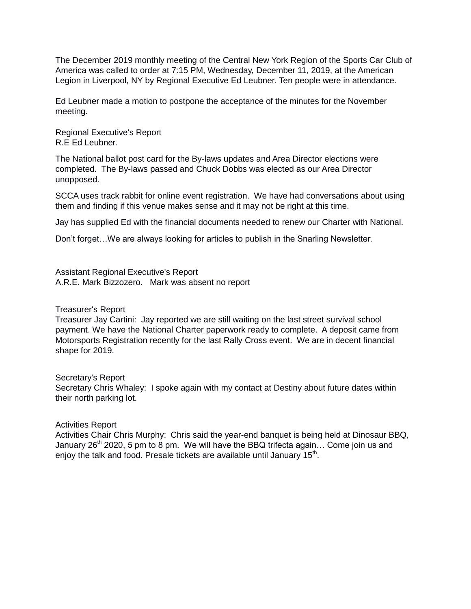The December 2019 monthly meeting of the Central New York Region of the Sports Car Club of America was called to order at 7:15 PM, Wednesday, December 11, 2019, at the American Legion in Liverpool, NY by Regional Executive Ed Leubner. Ten people were in attendance.

Ed Leubner made a motion to postpone the acceptance of the minutes for the November meeting.

Regional Executive's Report R.E Ed Leubner.

The National ballot post card for the By-laws updates and Area Director elections were completed. The By-laws passed and Chuck Dobbs was elected as our Area Director unopposed.

SCCA uses track rabbit for online event registration. We have had conversations about using them and finding if this venue makes sense and it may not be right at this time.

Jay has supplied Ed with the financial documents needed to renew our Charter with National.

Don't forget…We are always looking for articles to publish in the Snarling Newsletter.

Assistant Regional Executive's Report A.R.E. Mark Bizzozero. Mark was absent no report

Treasurer's Report

Treasurer Jay Cartini: Jay reported we are still waiting on the last street survival school payment. We have the National Charter paperwork ready to complete. A deposit came from Motorsports Registration recently for the last Rally Cross event. We are in decent financial shape for 2019.

Secretary's Report Secretary Chris Whaley: I spoke again with my contact at Destiny about future dates within their north parking lot.

Activities Report

Activities Chair Chris Murphy: Chris said the year-end banquet is being held at Dinosaur BBQ, January  $26<sup>th</sup>$  2020, 5 pm to 8 pm. We will have the BBQ trifecta again... Come join us and enjoy the talk and food. Presale tickets are available until January 15<sup>th</sup>.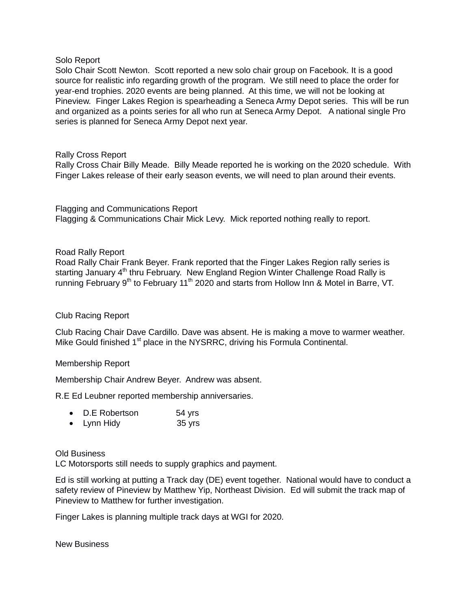### Solo Report

Solo Chair Scott Newton. Scott reported a new solo chair group on Facebook. It is a good source for realistic info regarding growth of the program. We still need to place the order for year-end trophies. 2020 events are being planned. At this time, we will not be looking at Pineview. Finger Lakes Region is spearheading a Seneca Army Depot series. This will be run and organized as a points series for all who run at Seneca Army Depot. A national single Pro series is planned for Seneca Army Depot next year.

## Rally Cross Report

Rally Cross Chair Billy Meade. Billy Meade reported he is working on the 2020 schedule. With Finger Lakes release of their early season events, we will need to plan around their events.

Flagging and Communications Report Flagging & Communications Chair Mick Levy. Mick reported nothing really to report.

# Road Rally Report

Road Rally Chair Frank Beyer. Frank reported that the Finger Lakes Region rally series is starting January  $4<sup>th</sup>$  thru February. New England Region Winter Challenge Road Rally is running February 9<sup>th</sup> to February 11<sup>th</sup> 2020 and starts from Hollow Inn & Motel in Barre, VT.

## Club Racing Report

Club Racing Chair Dave Cardillo. Dave was absent. He is making a move to warmer weather. Mike Gould finished  $1<sup>st</sup>$  place in the NYSRRC, driving his Formula Continental.

## Membership Report

Membership Chair Andrew Beyer. Andrew was absent.

R.E Ed Leubner reported membership anniversaries.

|  | <b>D.E</b> Robertson | 54 yrs |
|--|----------------------|--------|
|--|----------------------|--------|

• Lynn Hidy 35 yrs

## Old Business

LC Motorsports still needs to supply graphics and payment.

Ed is still working at putting a Track day (DE) event together. National would have to conduct a safety review of Pineview by Matthew Yip, Northeast Division. Ed will submit the track map of Pineview to Matthew for further investigation.

Finger Lakes is planning multiple track days at WGI for 2020.

New Business